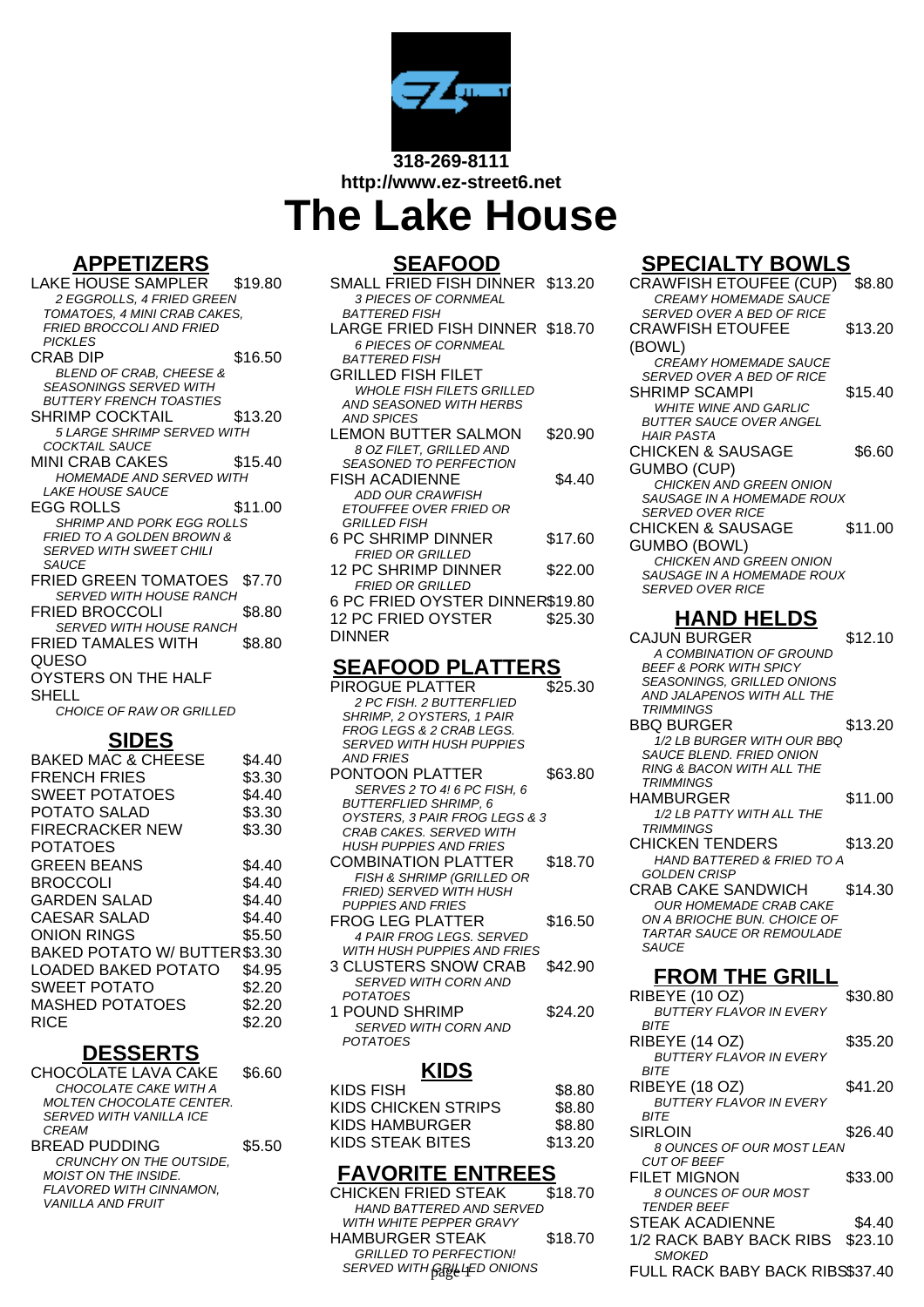

**http://www.ez-street6.net**

# **The Lake House**

#### **APPETIZERS**

LAKE HOUSE SAMPLER \$19.80 2 EGGROLLS, 4 FRIED GREEN TOMATOES, 4 MINI CRAB CAKES, FRIED BROCCOLI AND FRIED **PICKI FS** CRAB DIP \$16.50 BLEND OF CRAB, CHEESE & SEASONINGS SERVED WITH BUTTERY FRENCH TOASTIES SHRIMP COCKTAIL \$13.20 5 LARGE SHRIMP SERVED WITH COCKTAIL SAUCE MINI CRAB CAKES \$15.40 HOMEMADE AND SERVED WITH LAKE HOUSE SAUCE EGG ROLLS \$11.00 SHRIMP AND PORK EGG ROLLS FRIED TO A GOLDEN BROWN & SERVED WITH SWEET CHILI **SAUCE** FRIED GREEN TOMATOES \$7.70 SERVED WITH HOUSE RANCH FRIED BROCCOLI \$8.80 SERVED WITH HOUSE RANCH FRIED TAMALES WITH QUESO \$8.80 OYSTERS ON THE HALF SHELL CHOICE OF RAW OR GRILLED **SIDES** BAKED MAC & CHEESE \$4.40 FRENCH FRIES \$3.30 CULLET DOTATOES

| SWEET PUTATUES                | ა4.4U  |
|-------------------------------|--------|
| POTATO SALAD                  | \$3.30 |
| <b>FIRECRACKER NEW</b>        | \$3.30 |
| <b>POTATOES</b>               |        |
| <b>GREEN BEANS</b>            | \$4.40 |
| BROCCOLI                      | \$4.40 |
| <b>GARDEN SALAD</b>           | \$4.40 |
| CAESAR SALAD                  | \$4.40 |
| ONION RINGS                   | \$5.50 |
| BAKED POTATO W/ BUTTER \$3.30 |        |
| LOADED BAKED POTATO           | \$4.95 |
| SWEET POTATO                  | \$2.20 |
| <b>MASHED POTATOES</b>        | \$2.20 |
| RICE                          | \$2.20 |
|                               |        |

#### **DESSERTS**

| <b>CHOCOLATE LAVA CAKE</b>     | \$6.60 |
|--------------------------------|--------|
| CHOCOLATE CAKE WITH A          |        |
| MOLTEN CHOCOLATE CENTER.       |        |
| <b>SERVED WITH VANILLA ICE</b> |        |
| CRFAM                          |        |
| BREAD PUDDING                  | \$5.50 |
| CRUNCHY ON THE OUTSIDE.        |        |
| <b>MOIST ON THE INSIDE.</b>    |        |
| FLAVORED WITH CINNAMON.        |        |
| <b>VANILLA AND FRUIT</b>       |        |
|                                |        |

#### **SEAFOOD**

| <u>.</u><br>—<br>- -            |         |
|---------------------------------|---------|
| SMALL FRIED FISH DINNER \$13.20 |         |
| <b>3 PIECES OF CORNMEAL</b>     |         |
| <b>BATTERED FISH</b>            |         |
| LARGE FRIED FISH DINNER \$18.70 |         |
| 6 PIECES OF CORNMEAL            |         |
| <b>BATTERED FISH</b>            |         |
| GRILLED FISH FILET              |         |
| WHOI F FISH FII FTS GRII I FD   |         |
| AND SEASONED WITH HERBS         |         |
| <b>AND SPICES</b>               |         |
| LEMON BUTTER SALMON             | \$20.90 |
| 8 OZ FILET, GRILLED AND         |         |
| SFASONED TO PERFECTION          |         |
| <b>FISH ACADIENNE</b>           | \$4.40  |
| <b>ADD OUR CRAWFISH</b>         |         |
| ETOUFFEE OVER FRIED OR          |         |
| <b>GRILLED FISH</b>             |         |
| 6 PC SHRIMP DINNER              | \$17.60 |
| <b>FRIED OR GRILLED</b>         |         |
| 12 PC SHRIMP DINNER             | \$22.00 |
| <b>FRIED OR GRILLED</b>         |         |
| 6 PC FRIED OYSTER DINNER\$19.80 |         |
| <b>12 PC FRIED OYSTER</b>       | \$25.30 |
| DINNER                          |         |
|                                 |         |
| REAEAAN DI ATTEDR               |         |

## **SEAFOOD PLATTERS**

| 1716 A                                                      |         |
|-------------------------------------------------------------|---------|
| POTATOES                                                    |         |
| <b>SERVED WITH CORN AND</b>                                 |         |
| 1 POUND SHRIMP                                              | \$24.20 |
| POTATOES                                                    |         |
| <b>SERVED WITH CORN AND</b>                                 |         |
| 3 CLUSTERS SNOW CRAB                                        | \$42.90 |
| WITH HUSH PUPPIES AND FRIES                                 |         |
| <b>4 PAIR FROG LEGS. SERVED</b>                             |         |
| FROG LEG PLATTER                                            | \$16.50 |
| <b>PUPPIES AND FRIES</b>                                    |         |
| FRIED) SERVED WITH HUSH                                     |         |
| <b>FISH &amp; SHRIMP (GRILLED OR</b>                        |         |
| COMBINATION PLATTER                                         | \$18.70 |
| <b>HUSH PUPPIES AND FRIES</b>                               |         |
| CRAB CAKES. SERVED WITH                                     |         |
| OYSTERS, 3 PAIR FROG LEGS & 3                               |         |
| SERVES 2 TO 4! 6 PC FISH, 6<br><b>BUTTERFLIED SHRIMP, 6</b> |         |
| PONTOON PLATTER                                             | \$63.80 |
|                                                             |         |
| <b>SERVED WITH HUSH PUPPIES</b><br>AND FRIFS                |         |
| FROG LEGS & 2 CRAB LEGS.                                    |         |
| SHRIMP, 2 OYSTERS, 1 PAIR                                   |         |
| 2 PC FISH, 2 BUTTERFLIED                                    |         |
| PIROGUE PLATTER                                             | \$25.30 |

#### **KIDS**

| KIDS FISH           | \$8.80  |
|---------------------|---------|
| KIDS CHICKEN STRIPS | \$8.80  |
| KIDS HAMBURGER      | \$8.80  |
| KIDS STEAK BITES    | \$13.20 |

#### **FAVORITE ENTREES**

| CHICKEN FRIED STEAK            | \$18.70 |
|--------------------------------|---------|
| HAND BATTERED AND SERVED       |         |
| <i>WITH WHITE PEPPER GRAVY</i> |         |
| HAMBURGER STEAK                | \$18.70 |
| <b>GRILLED TO PERFECTION!</b>  |         |
| SERVED WITH GRILLED ONIONS     |         |

#### **SPECIALTY BOWLS**

| $\blacksquare$<br>FISH DINNER \$13.20<br><sup>:</sup> CORNMEAL           |                   | .<br>.<br><b>CRAWFISH ETOUFEE (CUP)</b><br><b>CREAMY HOMEMADE SAUCE</b>                                                                             | \$8.80  |
|--------------------------------------------------------------------------|-------------------|-----------------------------------------------------------------------------------------------------------------------------------------------------|---------|
| Ή<br>FISH DINNER \$18.70<br><sup>:</sup> CORNMEAL                        |                   | <b>SERVED OVER A BED OF RICE</b><br><b>CRAWFISH ETOUFEE</b><br>(BOWL)                                                                               | \$13.20 |
| Ή<br>1 FILET<br><b>FILETS GRILLED</b><br>D WITH HERBS:                   |                   | <b>CREAMY HOMEMADE SAUCE</b><br><b>SERVED OVER A BED OF RICE</b><br><b>SHRIMP SCAMPI</b><br><b>WHITE WINE AND GARLIC</b><br>BUTTER SAUCE OVER ANGEL | \$15.40 |
| ER SALMON<br><b>GRILLED AND</b><br>PERFECTION                            | \$20.90           | HAIR PASTA<br><b>CHICKEN &amp; SAUSAGE</b>                                                                                                          | \$6.60  |
| NNE<br><b>AWFISH</b><br>ER FRIED OR                                      | \$4.40            | <b>GUMBO (CUP)</b><br>CHICKEN AND GREEN ONION<br>SAUSAGE IN A HOMEMADE ROUX<br><b>SERVED OVER RICE</b>                                              |         |
| <b>DINNER</b><br>RILLED                                                  | \$17.60           | <b>CHICKEN &amp; SAUSAGE</b><br><b>GUMBO (BOWL)</b>                                                                                                 | \$11.00 |
| P DINNER<br>RILLED                                                       | \$22.00           | CHICKEN AND GREEN ONION<br>SAUSAGE IN A HOMEMADE ROUX<br><b>SERVED OVER RICE</b>                                                                    |         |
| YSTER DINNER\$19.80<br>OYSTER                                            | \$25.30           | <b>HAND HELDS</b>                                                                                                                                   |         |
|                                                                          |                   | <b>CAJUN BURGER</b><br>A COMBINATION OF GROUND                                                                                                      | \$12.10 |
| <b>D PLATTERS</b><br><b>\TTER</b><br><b>BUTTERFLIED</b>                  | \$25.30           | <b>BEEF &amp; PORK WITH SPICY</b><br>SEASONINGS, GRILLED ONIONS<br>AND JALAPENOS WITH ALL THE<br><b>TRIMMINGS</b>                                   |         |
| STERS, 1 PAIR<br>2 CRAB LEGS.<br><b>HUSH PUPPIES</b>                     |                   | <b>BBQ BURGER</b><br>1/2 LB BURGER WITH OUR BBQ<br>SAUCE BLEND. FRIED ONION<br><b>RING &amp; BACON WITH ALL THE</b>                                 | \$13.20 |
| ATTER<br>0 4! 6 PC FISH, 6<br>SHRIMP, 6<br>4 <i>IR FROG LEGS &amp; 3</i> | \$63.80           | <b>TRIMMINGS</b><br>HAMBURGER<br>1/2 LB PATTY WITH ALL THE                                                                                          | \$11.00 |
| <b>SERVED WITH</b><br><i><b>S AND FRIES</b></i><br>N PLATTER             | \$18.70           | <b>TRIMMINGS</b><br><b>CHICKEN TENDERS</b><br>HAND BATTERED & FRIED TO A                                                                            | \$13.20 |
| MP (GRILLED OR<br>D WITH HUSH<br><i>FRIES</i>                            |                   | <b>GOLDEN CRISP</b><br>CRAB CAKE SANDWICH<br>OUR HOMEMADE CRAB CAKE                                                                                 | \$14.30 |
| .ATTER<br>; LEGS. SERVED<br><i><b>IPPIES AND FRIES</b></i>               | \$16.50           | ON A BRIOCHE BUN. CHOICE OF<br>TARTAR SAUCE OR REMOULADE<br><b>SAUCE</b>                                                                            |         |
| SNOW CRAB<br>'H CORN AND                                                 | \$42.90           | <b>FROM THE GRILL</b>                                                                                                                               |         |
| રાMP<br>'H CORN AND                                                      | \$24.20           | RIBEYE (10 OZ)<br><b>BUTTERY FLAVOR IN EVERY</b><br><i>BITE</i>                                                                                     | \$30.80 |
| <u>(IDS</u>                                                              |                   | RIBEYE (14 OZ)<br><b>BUTTERY FLAVOR IN EVERY</b><br><i>BITE</i>                                                                                     | \$35.20 |
| N STRIPS                                                                 | \$8.80<br>\$8.80  | RIBEYE (18 OZ)<br><b>BUTTERY FLAVOR IN EVERY</b>                                                                                                    | \$41.20 |
| २GER<br><b>BITES</b>                                                     | \$8.80<br>\$13.20 | BITE<br><b>SIRLOIN</b><br>8 OUNCES OF OUR MOST LEAN                                                                                                 | \$26.40 |
| <b>E ENTREES</b>                                                         |                   | <b>CUT OF BEEF</b><br><b>FILET MIGNON</b>                                                                                                           | \$33.00 |
| ED STEAK<br><b>FRED AND SERVED</b><br>EPPER GRAVY                        | \$18.70           | 8 OUNCES OF OUR MOST<br><i>TENDER BEEF</i><br>STEAK ACADIENNE                                                                                       | \$4.40  |
| <b>STEAK</b><br>PERFECTION!                                              | \$18.70           | 1/2 RACK BABY BACK RIBS<br>SMOKED                                                                                                                   | \$23.10 |
| <b>GRILLED ONIONS</b>                                                    |                   | FULL RACK BABY BACK RIBS\$37.40                                                                                                                     |         |